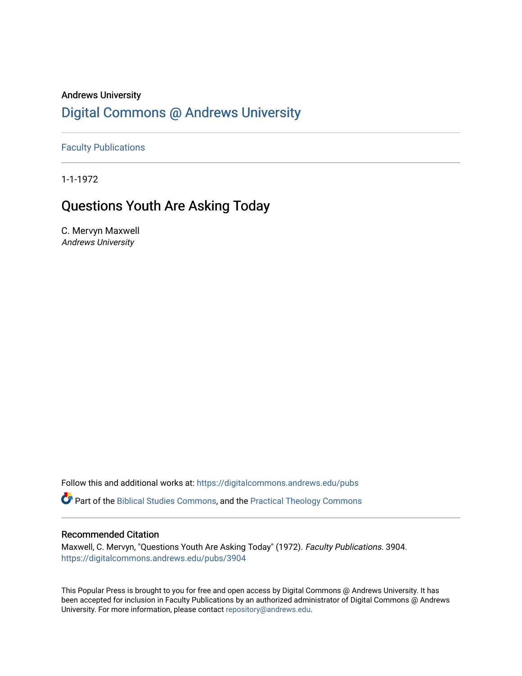# Andrews University [Digital Commons @ Andrews University](https://digitalcommons.andrews.edu/)

[Faculty Publications](https://digitalcommons.andrews.edu/pubs)

1-1-1972

# Questions Youth Are Asking Today

C. Mervyn Maxwell Andrews University

Follow this and additional works at: [https://digitalcommons.andrews.edu/pubs](https://digitalcommons.andrews.edu/pubs?utm_source=digitalcommons.andrews.edu%2Fpubs%2F3904&utm_medium=PDF&utm_campaign=PDFCoverPages) 

Part of the [Biblical Studies Commons,](http://network.bepress.com/hgg/discipline/539?utm_source=digitalcommons.andrews.edu%2Fpubs%2F3904&utm_medium=PDF&utm_campaign=PDFCoverPages) and the [Practical Theology Commons](http://network.bepress.com/hgg/discipline/1186?utm_source=digitalcommons.andrews.edu%2Fpubs%2F3904&utm_medium=PDF&utm_campaign=PDFCoverPages) 

# Recommended Citation

Maxwell, C. Mervyn, "Questions Youth Are Asking Today" (1972). Faculty Publications. 3904. [https://digitalcommons.andrews.edu/pubs/3904](https://digitalcommons.andrews.edu/pubs/3904?utm_source=digitalcommons.andrews.edu%2Fpubs%2F3904&utm_medium=PDF&utm_campaign=PDFCoverPages) 

This Popular Press is brought to you for free and open access by Digital Commons @ Andrews University. It has been accepted for inclusion in Faculty Publications by an authorized administrator of Digital Commons @ Andrews University. For more information, please contact [repository@andrews.edu](mailto:repository@andrews.edu).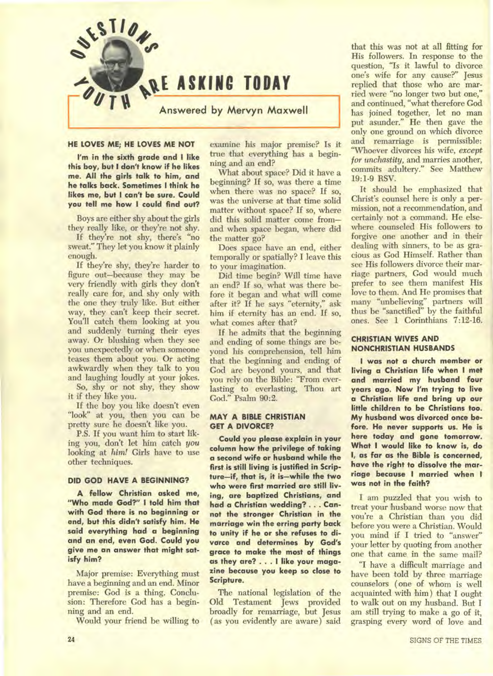

### **HE LOVES ME; HE LOVES ME NOT**

**I'm in the sixth grade and I like this boy, but I don't know if he likes me. All the girls talk to him, and he talks back. Sometimes I think he likes me, but I can't be sure. Could you tell me how I could find out?** 

Boys are either shy about the girls they really like, or they're not shy.

If they're not shy, there's "no sweat." They let you know it plainly enough.

If they're shy, they're harder to figure out—because they may be very friendly with girls they don't really care for, and shy only with the one they truly like. But either way, they can't keep their secret. You'll catch them looking at you and suddenly turning their eyes away. Or blushing when they see you unexpectedly or when someone teases them about you. Or acting awkwardly when they talk to you and laughing loudly at your jokes.

So, shy or not shy, they show it if they like you.

If the boy you like doesn't even "look" at you, then you can be pretty sure he doesn't like you.

P.S. If you want him to start liking you, don't let him catch you looking at *him!* Girls have to use other techniques.

#### **DID GOD HAVE A BEGINNING?**

**A fellow Christian asked me, "Who made God?" I told him that with God there is no beginning or end, but this didn't satisfy him. He said everything had a beginning and an end, even God. Could you give me an answer that might satisfy him?** 

Major premise: Everything must have a beginning and an end. Minor premise: God is a thing. Conclusion: Therefore God has a beginning and an end.

Would your friend be willing to

examine his major premise? Is it true that everything has a beginning and an end?

What about space? Did it have a beginning? If so, was there a time when there was no space? If so, was the universe at that time solid matter without space? If so, where did this solid matter come from and when space began, where did the matter go?

Does space have an end, either temporally or spatially? I leave this to your imagination.

Did time begin? Will time have an end? If so, what was there before it began and what will come after it? If he says "eternity," ask him if eternity has an end. If so, what comes after that?

If he admits that the beginning and ending of some things are beyond his comprehension, tell him that the beginning and ending of God are beyond yours, and that you rely on **the Bible:** "From everlasting to everlasting, Thou art God." Psalm 90:2.

### **MAY A BIBLE CHRISTIAN GET A DIVORCE?**

**Could you please explain in your column how the privilege of taking a second wife or husband while the first is still living is justified in Scripture—if, that is, it is—while the two who were first married are still living, are baptized Christians, and had a Christian wedding? . . . Cannot the stronger Christian in the marriage win the erring party back to unity if he or she refuses to divorce and determines by God's grace to make the most of things as they are? . . . I like your magazine because you keep so close to Scripture.** 

The national legislation of the Old Testament Jews provided broadly for remarriage, but Jesus ( as you evidently are aware) said

that this was not at all fitting for His followers. In response to the question, "Is it lawful to divorce one's wife for any cause?" Jesus replied that those who are married were "no longer two but one," and continued, "what therefore God has joined together, let no man put asunder." He then gave the only one ground on which divorce and remarriage is permissible: "Whoever divorces his wife, *except for unchastity,* and marries another, commits adultery." See Matthew 19:1-9 RSV.

It should be emphasized that Christ's counsel here is only a permission, not a recommendation, and certainly not a command. He elsewhere counseled His followers to forgive one another and in their dealing with sinners, to be as gracious as God Himself. Rather than see His followers divorce their marriage partners, God would much prefer to *see* them manifest His love to them. And He promises that many "unbelieving" partners will thus be "sanctified" by the faithful ones. See **1** Corinthians 7:12-16.

### **CHRISTIAN WIVES AND NONCHRISTIAN HUSBANDS**

**I was not a church member or living a Christian life when I met and married my husband four years ago. Now I'm trying to live a Christian life and bring up our little children to be Christians too. My husband was divorced once before. He never supports us. He is here today and gone tomorrow. What I would like to know is, do I, as far as the Bible is concerned, have the right to dissolve the marriage because I married when I was not in the faith?** 

I am puzzled that you wish to treat your husband worse now that you're a Christian than you did before you were a Christian. Would you mind if I tried to "answer" your letter by quoting from another one that came. in the same mail?

"I have a difficult marriage and have been told by three marriage counselors ( one of whom is well acquainted with him) that I ought to walk out on my husband. But I am still trying to make a go of it, grasping every word of love and